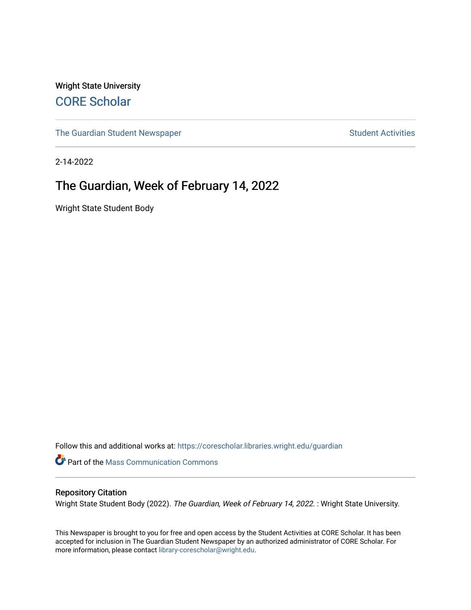Wright State University [CORE Scholar](https://corescholar.libraries.wright.edu/)

[The Guardian Student Newspaper](https://corescholar.libraries.wright.edu/guardian) Student Activities

2-14-2022

#### The Guardian, Week of February 14, 2022

Wright State Student Body

Follow this and additional works at: [https://corescholar.libraries.wright.edu/guardian](https://corescholar.libraries.wright.edu/guardian?utm_source=corescholar.libraries.wright.edu%2Fguardian%2F2520&utm_medium=PDF&utm_campaign=PDFCoverPages)

Part of the [Mass Communication Commons](http://network.bepress.com/hgg/discipline/334?utm_source=corescholar.libraries.wright.edu%2Fguardian%2F2520&utm_medium=PDF&utm_campaign=PDFCoverPages) 

#### Repository Citation

Wright State Student Body (2022). The Guardian, Week of February 14, 2022. : Wright State University.

This Newspaper is brought to you for free and open access by the Student Activities at CORE Scholar. It has been accepted for inclusion in The Guardian Student Newspaper by an authorized administrator of CORE Scholar. For more information, please contact [library-corescholar@wright.edu.](mailto:library-corescholar@wright.edu)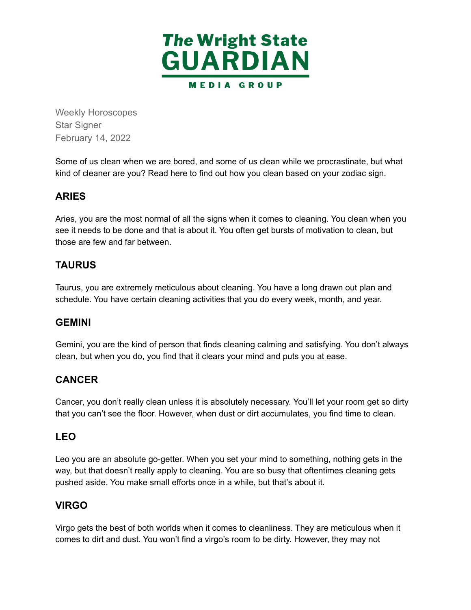

Weekly Horoscopes Star Signer February 14, 2022

 Some of us clean when we are bored, and some of us clean while we procrastinate, but what kind of cleaner are you? Read here to find out how you clean based on your zodiac sign.

#### **ARIES**

 Aries, you are the most normal of all the signs when it comes to cleaning. You clean when you see it needs to be done and that is about it. You often get bursts of motivation to clean, but those are few and far between.

#### **TAURUS**

 Taurus, you are extremely meticulous about cleaning. You have a long drawn out plan and schedule. You have certain cleaning activities that you do every week, month, and year.

#### **GEMINI**

 Gemini, you are the kind of person that finds cleaning calming and satisfying. You don't always clean, but when you do, you find that it clears your mind and puts you at ease.

#### **CANCER**

 Cancer, you don't really clean unless it is absolutely necessary. You'll let your room get so dirty that you can't see the floor. However, when dust or dirt accumulates, you find time to clean.

#### **LEO**

 Leo you are an absolute go-getter. When you set your mind to something, nothing gets in the way, but that doesn't really apply to cleaning. You are so busy that oftentimes cleaning gets pushed aside. You make small efforts once in a while, but that's about it.

#### **VIRGO**

 Virgo gets the best of both worlds when it comes to cleanliness. They are meticulous when it comes to dirt and dust. You won't find a virgo's room to be dirty. However, they may not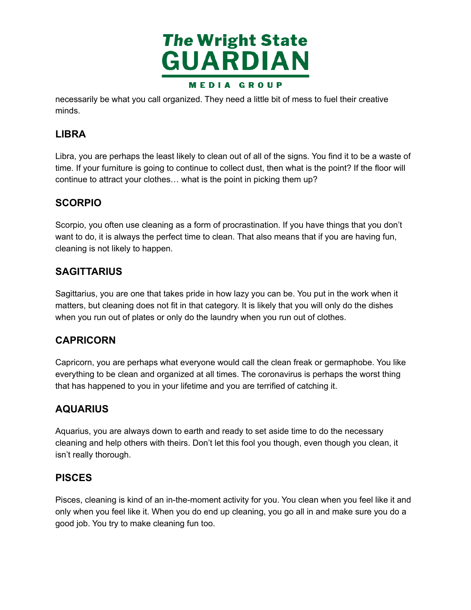

 necessarily be what you call organized. They need a little bit of mess to fuel their creative minds.

#### **LIBRA**

 Libra, you are perhaps the least likely to clean out of all of the signs. You find it to be a waste of time. If your furniture is going to continue to collect dust, then what is the point? If the floor will continue to attract your clothes… what is the point in picking them up?

#### **SCORPIO**

 Scorpio, you often use cleaning as a form of procrastination. If you have things that you don't want to do, it is always the perfect time to clean. That also means that if you are having fun, cleaning is not likely to happen.

#### **SAGITTARIUS**

 Sagittarius, you are one that takes pride in how lazy you can be. You put in the work when it matters, but cleaning does not fit in that category. It is likely that you will only do the dishes when you run out of plates or only do the laundry when you run out of clothes.

#### **CAPRICORN**

 Capricorn, you are perhaps what everyone would call the clean freak or germaphobe. You like everything to be clean and organized at all times. The coronavirus is perhaps the worst thing that has happened to you in your lifetime and you are terrified of catching it.

#### **AQUARIUS**

 Aquarius, you are always down to earth and ready to set aside time to do the necessary cleaning and help others with theirs. Don't let this fool you though, even though you clean, it isn't really thorough.

#### **PISCES**

 Pisces, cleaning is kind of an in-the-moment activity for you. You clean when you feel like it and only when you feel like it. When you do end up cleaning, you go all in and make sure you do a good job. You try to make cleaning fun too.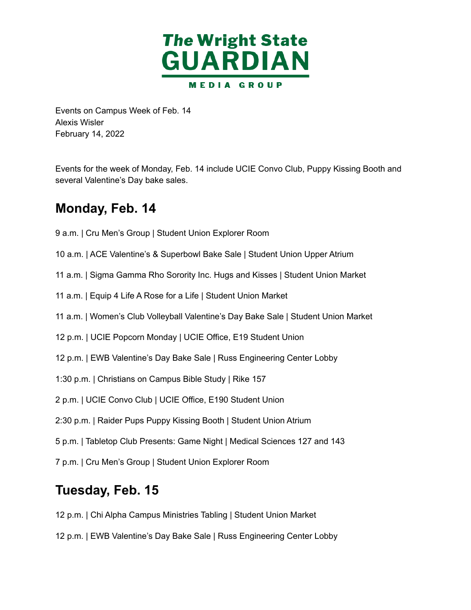

 Events on Campus Week of Feb. 14 February 14, 2022 Alexis Wisler

 Events for the week of Monday, Feb. 14 include UCIE Convo Club, Puppy Kissing Booth and several Valentine's Day bake sales.

### **Monday, Feb. 14**

- 9 a.m. | Cru Men's Group | Student Union Explorer Room
- 10 a.m. | ACE Valentine's & Superbowl Bake Sale | Student Union Upper Atrium
- 11 a.m. | Sigma Gamma Rho Sorority Inc. Hugs and Kisses | Student Union Market
- 11 a.m. | Equip 4 Life A Rose for a Life | Student Union Market
- 11 a.m. | Women's Club Volleyball Valentine's Day Bake Sale | Student Union Market
- 12 p.m. | UCIE Popcorn Monday | UCIE Office, E19 Student Union
- 12 p.m. | EWB Valentine's Day Bake Sale | Russ Engineering Center Lobby
- 1:30 p.m. | Christians on Campus Bible Study | Rike 157
- 2 p.m. | UCIE Convo Club | UCIE Office, E190 Student Union
- 2:30 p.m. | Raider Pups Puppy Kissing Booth | Student Union Atrium
- 5 p.m. | Tabletop Club Presents: Game Night | Medical Sciences 127 and 143
- 7 p.m. | Cru Men's Group | Student Union Explorer Room

#### **Tuesday, Feb. 15**

- 12 p.m. | Chi Alpha Campus Ministries Tabling | Student Union Market
- 12 p.m. | EWB Valentine's Day Bake Sale | Russ Engineering Center Lobby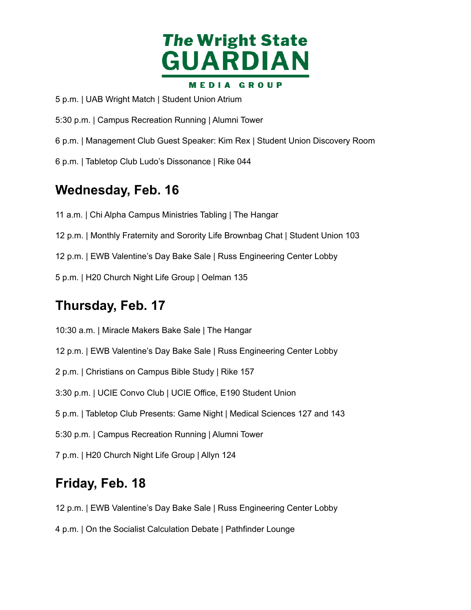

- p.m. | UAB Wright Match | Student Union Atrium
- 5:30 p.m. | Campus Recreation Running | Alumni Tower
- p.m. | Management Club Guest Speaker: Kim Rex | Student Union Discovery Room
- p.m. | Tabletop Club Ludo's Dissonance | Rike 044

### **Wednesday, Feb. 16**

a.m. | Chi Alpha Campus Ministries Tabling | The Hangar

- p.m. | Monthly Fraternity and Sorority Life Brownbag Chat | Student Union 103
- p.m. | EWB Valentine's Day Bake Sale | Russ Engineering Center Lobby
- p.m. | H20 Church Night Life Group | Oelman 135

# **Thursday, Feb. 17**

10:30 a.m. | Miracle Makers Bake Sale | The Hangar p.m. | EWB Valentine's Day Bake Sale | Russ Engineering Center Lobby p.m. | Christians on Campus Bible Study | Rike 157 3:30 p.m. | UCIE Convo Club | UCIE Office, E190 Student Union p.m. | Tabletop Club Presents: Game Night | Medical Sciences 127 and 143 5:30 p.m. | Campus Recreation Running | Alumni Tower p.m. | H20 Church Night Life Group | Allyn 124

# **Friday, Feb. 18**

p.m. | EWB Valentine's Day Bake Sale | Russ Engineering Center Lobby

p.m. | On the Socialist Calculation Debate | Pathfinder Lounge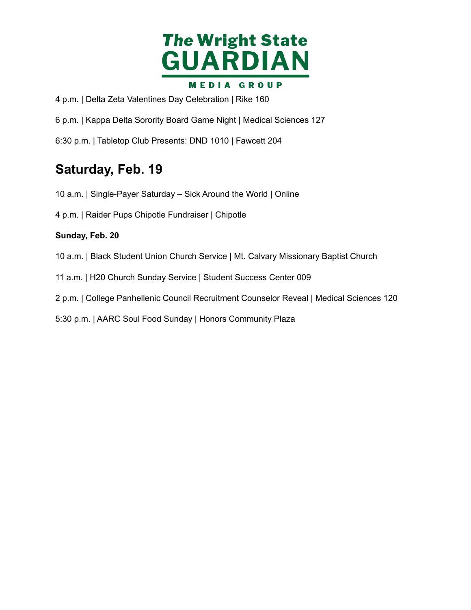

p.m. | Delta Zeta Valentines Day Celebration | Rike 160

p.m. | Kappa Delta Sorority Board Game Night | Medical Sciences 127

6:30 p.m. | Tabletop Club Presents: DND 1010 | Fawcett 204

### **Saturday, Feb. 19**

a.m. | Single-Payer Saturday – Sick Around the World | Online

p.m. | Raider Pups Chipotle Fundraiser | Chipotle

#### **Sunday, Feb. 20**

a.m. | Black Student Union Church Service | Mt. Calvary Missionary Baptist Church

a.m. | H20 Church Sunday Service | Student Success Center 009

p.m. | College Panhellenic Council Recruitment Counselor Reveal | Medical Sciences 120

5:30 p.m. | AARC Soul Food Sunday | Honors Community Plaza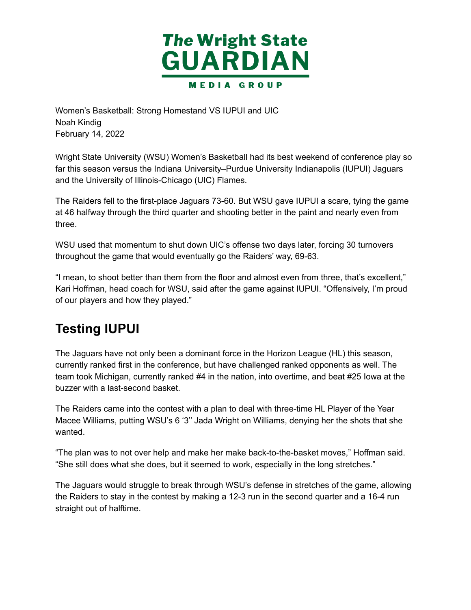

 Women's Basketball: Strong Homestand VS IUPUI and UIC February 14, 2022 Noah Kindig

 Wright State University (WSU) Women's Basketball had its best weekend of conference play so far this season versus the Indiana University–Purdue University Indianapolis (IUPUI) Jaguars and the University of Illinois-Chicago (UIC) Flames.

 The Raiders fell to the first-place Jaguars 73-60. But WSU gave IUPUI a scare, tying the game at 46 halfway through the third quarter and shooting better in the paint and nearly even from three.

 WSU used that momentum to shut down UIC's offense two days later, forcing 30 turnovers throughout the game that would eventually go the Raiders' way, 69-63.

 "I mean, to shoot better than them from the floor and almost even from three, that's excellent," Kari Hoffman, head coach for WSU, said after the game against IUPUI. "Offensively, I'm proud of our players and how they played."

# **Testing IUPUI**

 The Jaguars have not only been a dominant force in the Horizon League (HL) this season, currently ranked first in the conference, but have challenged ranked opponents as well. The team took Michigan, currently ranked #4 in the nation, into overtime, and beat #25 Iowa at the buzzer with a last-second basket.

 The Raiders came into the contest with a plan to deal with three-time HL Player of the Year Macee Williams, putting WSU's 6 '3'' Jada Wright on Williams, denying her the shots that she wanted.

 "The plan was to not over help and make her make back-to-the-basket moves," Hoffman said. "She still does what she does, but it seemed to work, especially in the long stretches."

 The Jaguars would struggle to break through WSU's defense in stretches of the game, allowing the Raiders to stay in the contest by making a 12-3 run in the second quarter and a 16-4 run straight out of halftime.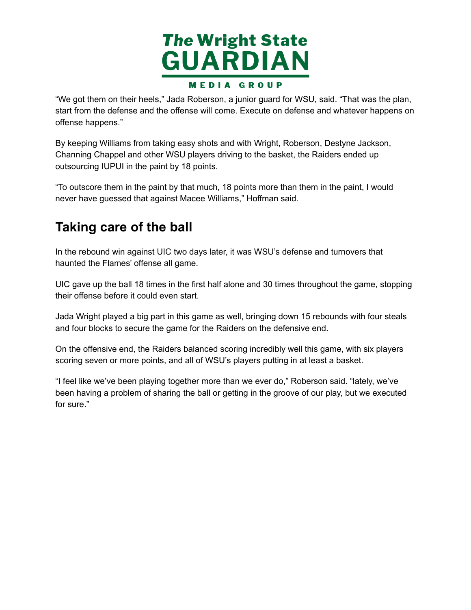

 "We got them on their heels," Jada Roberson, a junior guard for WSU, said. "That was the plan, start from the defense and the offense will come. Execute on defense and whatever happens on offense happens."

 By keeping Williams from taking easy shots and with Wright, Roberson, Destyne Jackson, Channing Chappel and other WSU players driving to the basket, the Raiders ended up outsourcing IUPUI in the paint by 18 points.

 "To outscore them in the paint by that much, 18 points more than them in the paint, I would never have guessed that against Macee Williams," Hoffman said.

# **Taking care of the ball**

 In the rebound win against UIC two days later, it was WSU's defense and turnovers that haunted the Flames' offense all game.

 UIC gave up the ball 18 times in the first half alone and 30 times throughout the game, stopping their offense before it could even start.

 Jada Wright played a big part in this game as well, bringing down 15 rebounds with four steals and four blocks to secure the game for the Raiders on the defensive end.

 On the offensive end, the Raiders balanced scoring incredibly well this game, with six players scoring seven or more points, and all of WSU's players putting in at least a basket.

 "I feel like we've been playing together more than we ever do," Roberson said. "lately, we've been having a problem of sharing the ball or getting in the groove of our play, but we executed for sure."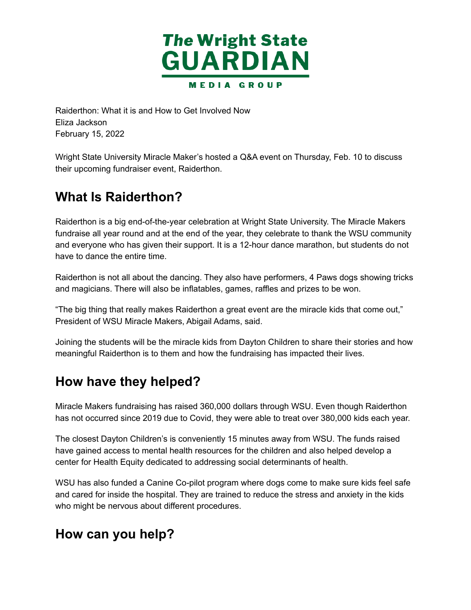

 Raiderthon: What it is and How to Get Involved Now February 15, 2022 Eliza Jackson

 Wright State University Miracle Maker's hosted a Q&A event on Thursday, Feb. 10 to discuss their upcoming fundraiser event, Raiderthon.

# **What Is Raiderthon?**

 Raiderthon is a big end-of-the-year celebration at Wright State University. The Miracle Makers fundraise all year round and at the end of the year, they celebrate to thank the WSU community and everyone who has given their support. It is a 12-hour dance marathon, but students do not have to dance the entire time.

 Raiderthon is not all about the dancing. They also have performers, 4 Paws dogs showing tricks and magicians. There will also be inflatables, games, raffles and prizes to be won.

 "The big thing that really makes Raiderthon a great event are the miracle kids that come out," President of WSU Miracle Makers, Abigail Adams, said.

 Joining the students will be the miracle kids from Dayton Children to share their stories and how meaningful Raiderthon is to them and how the fundraising has impacted their lives.

# **How have they helped?**

 Miracle Makers fundraising has raised 360,000 dollars through WSU. Even though Raiderthon has not occurred since 2019 due to Covid, they were able to treat over 380,000 kids each year.

 The closest Dayton Children's is conveniently 15 minutes away from WSU. The funds raised have gained access to mental health resources for the children and also helped develop a center for Health Equity dedicated to addressing social determinants of health.

 WSU has also funded a Canine Co-pilot program where dogs come to make sure kids feel safe and cared for inside the hospital. They are trained to reduce the stress and anxiety in the kids who might be nervous about different procedures.

### **How can you help?**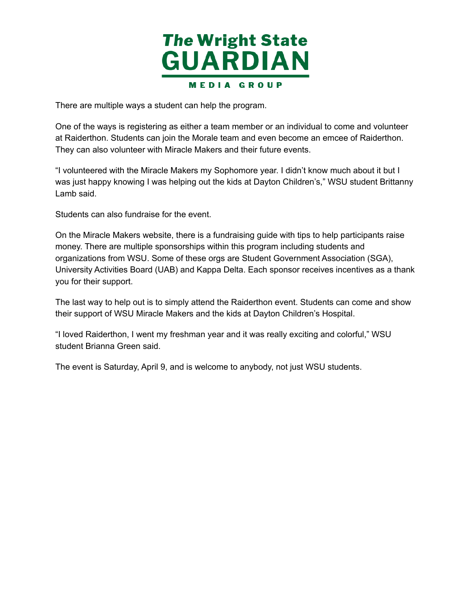

There are multiple ways a student can help the program.

 One of the ways is registering as either a team member or an individual to come and volunteer at Raiderthon. Students can join the Morale team and even become an emcee of Raiderthon. They can also volunteer with Miracle Makers and their future events.

 "I volunteered with the Miracle Makers my Sophomore year. I didn't know much about it but I was just happy knowing I was helping out the kids at Dayton Children's," WSU student Brittanny Lamb said.

Students can also fundraise for the event.

 On the Miracle Makers website, there is a fundraising guide with tips to help participants raise money. There are multiple sponsorships within this program including students and organizations from WSU. Some of these orgs are Student Government Association (SGA), University Activities Board (UAB) and Kappa Delta. Each sponsor receives incentives as a thank you for their support.

 The last way to help out is to simply attend the Raiderthon event. Students can come and show their support of WSU Miracle Makers and the kids at Dayton Children's Hospital.

 "I loved Raiderthon, I went my freshman year and it was really exciting and colorful," WSU student Brianna Green said.

The event is Saturday, April 9, and is welcome to anybody, not just WSU students.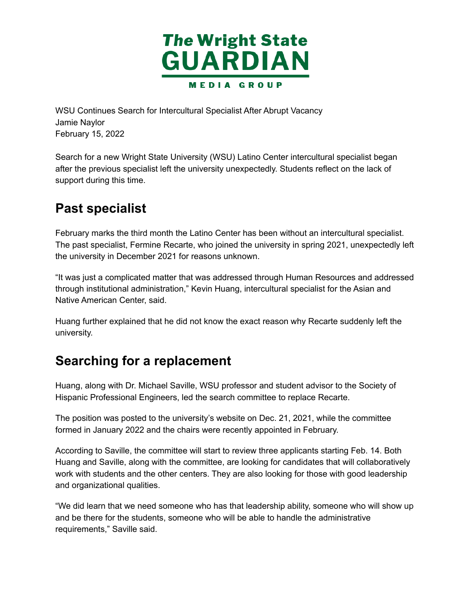

 WSU Continues Search for Intercultural Specialist After Abrupt Vacancy February 15, 2022 Jamie Naylor

 Search for a new Wright State University (WSU) Latino Center intercultural specialist began after the previous specialist left the university unexpectedly. Students reflect on the lack of support during this time.

# **Past specialist**

 February marks the third month the Latino Center has been without an intercultural specialist. The past specialist, Fermine Recarte, who joined the university in spring 2021, unexpectedly left the university in December 2021 for reasons unknown.

 "It was just a complicated matter that was addressed through Human Resources and addressed through institutional administration," Kevin Huang, intercultural specialist for the Asian and Native American Center, said.

 Huang further explained that he did not know the exact reason why Recarte suddenly left the university.

### **Searching for a replacement**

 Huang, along with Dr. Michael Saville, WSU professor and student advisor to the Society of Hispanic Professional Engineers, led the search committee to replace Recarte.

 The position was posted to the university's website on Dec. 21, 2021, while the committee formed in January 2022 and the chairs were recently appointed in February.

 According to Saville, the committee will start to review three applicants starting Feb. 14. Both Huang and Saville, along with the committee, are looking for candidates that will collaboratively work with students and the other centers. They are also looking for those with good leadership and organizational qualities.

 "We did learn that we need someone who has that leadership ability, someone who will show up and be there for the students, someone who will be able to handle the administrative requirements," Saville said.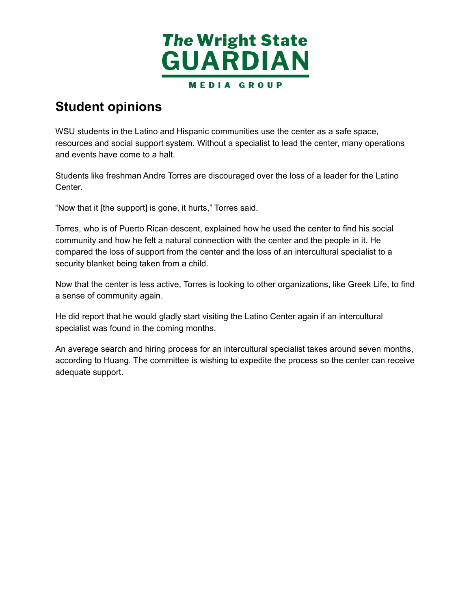

### **Student opinions**

 WSU students in the Latino and Hispanic communities use the center as a safe space, resources and social support system. Without a specialist to lead the center, many operations and events have come to a halt.

 Students like freshman Andre Torres are discouraged over the loss of a leader for the Latino Center.

"Now that it [the support] is gone, it hurts," Torres said.

 Torres, who is of Puerto Rican descent, explained how he used the center to find his social community and how he felt a natural connection with the center and the people in it. He compared the loss of support from the center and the loss of an intercultural specialist to a security blanket being taken from a child.

 Now that the center is less active, Torres is looking to other organizations, like Greek Life, to find a sense of community again.

 He did report that he would gladly start visiting the Latino Center again if an intercultural specialist was found in the coming months.

 An average search and hiring process for an intercultural specialist takes around seven months, according to Huang. The committee is wishing to expedite the process so the center can receive adequate support.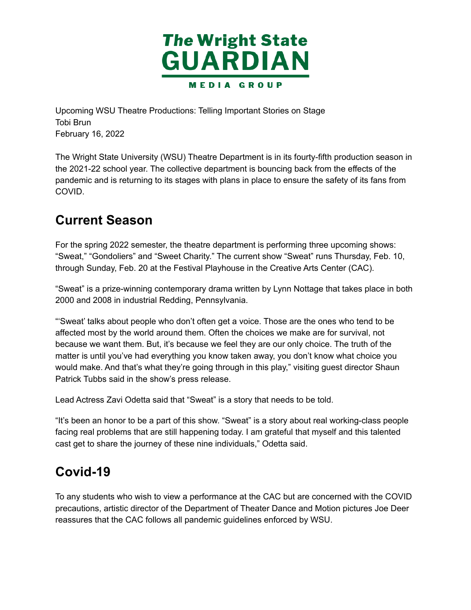

 Upcoming WSU Theatre Productions: Telling Important Stories on Stage February 16, 2022 Tobi Brun

 The Wright State University (WSU) Theatre Department is in its fourty-fifth production season in the 2021-22 school year. The collective department is bouncing back from the effects of the pandemic and is returning to its stages with plans in place to ensure the safety of its fans from COVID.

# **Current Season**

 For the spring 2022 semester, the theatre department is performing three upcoming shows: "Sweat," "Gondoliers" and "Sweet Charity." The current show "Sweat" runs Thursday, Feb. 10, through Sunday, Feb. 20 at the Festival Playhouse in the Creative Arts Center (CAC).

 "Sweat" is a prize-winning contemporary drama written by Lynn Nottage that takes place in both 2000 and 2008 in industrial Redding, Pennsylvania.

 "'Sweat' talks about people who don't often get a voice. Those are the ones who tend to be affected most by the world around them. Often the choices we make are for survival, not because we want them. But, it's because we feel they are our only choice. The truth of the matter is until you've had everything you know taken away, you don't know what choice you would make. And that's what they're going through in this play," visiting guest director Shaun Patrick Tubbs said in the show's press release.

Lead Actress Zavi Odetta said that "Sweat" is a story that needs to be told.

 "It's been an honor to be a part of this show. "Sweat" is a story about real working-class people facing real problems that are still happening today. I am grateful that myself and this talented cast get to share the journey of these nine individuals," Odetta said.

# **Covid-19**

 To any students who wish to view a performance at the CAC but are concerned with the COVID precautions, artistic director of the Department of Theater Dance and Motion pictures Joe Deer reassures that the CAC follows all pandemic guidelines enforced by WSU.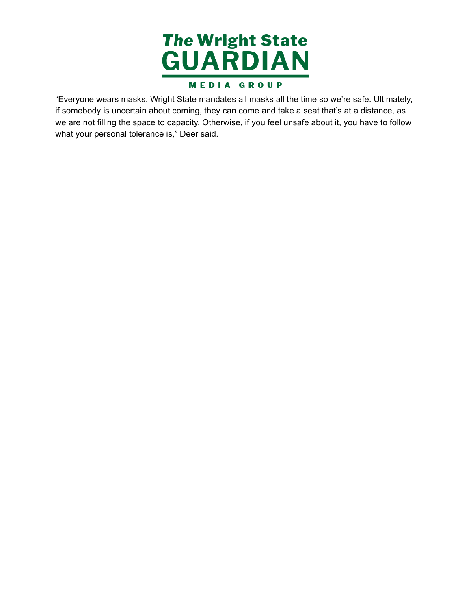

 "Everyone wears masks. Wright State mandates all masks all the time so we're safe. Ultimately, if somebody is uncertain about coming, they can come and take a seat that's at a distance, as we are not filling the space to capacity. Otherwise, if you feel unsafe about it, you have to follow what your personal tolerance is," Deer said.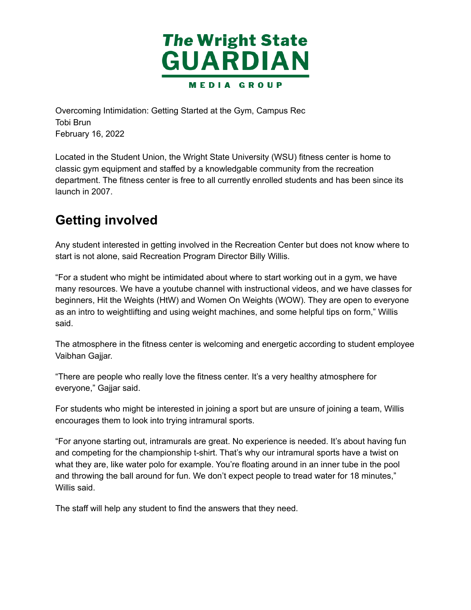

 Overcoming Intimidation: Getting Started at the Gym, Campus Rec February 16, 2022 Tobi Brun

 Located in the Student Union, the Wright State University (WSU) fitness center is home to classic gym equipment and staffed by a knowledgable community from the recreation department. The fitness center is free to all currently enrolled students and has been since its launch in 2007.

# **Getting involved**

 Any student interested in getting involved in the Recreation Center but does not know where to start is not alone, said Recreation Program Director Billy Willis.

 "For a student who might be intimidated about where to start working out in a gym, we have many resources. We have a youtube channel with instructional videos, and we have classes for beginners, Hit the Weights (HtW) and Women On Weights (WOW). They are open to everyone as an intro to weightlifting and using weight machines, and some helpful tips on form," Willis said.

 The atmosphere in the fitness center is welcoming and energetic according to student employee Vaibhan Gajjar.

 "There are people who really love the fitness center. It's a very healthy atmosphere for everyone," Gajjar said.

 For students who might be interested in joining a sport but are unsure of joining a team, Willis encourages them to look into trying intramural sports.

 "For anyone starting out, intramurals are great. No experience is needed. It's about having fun and competing for the championship t-shirt. That's why our intramural sports have a twist on what they are, like water polo for example. You're floating around in an inner tube in the pool and throwing the ball around for fun. We don't expect people to tread water for 18 minutes," Willis said.

The staff will help any student to find the answers that they need.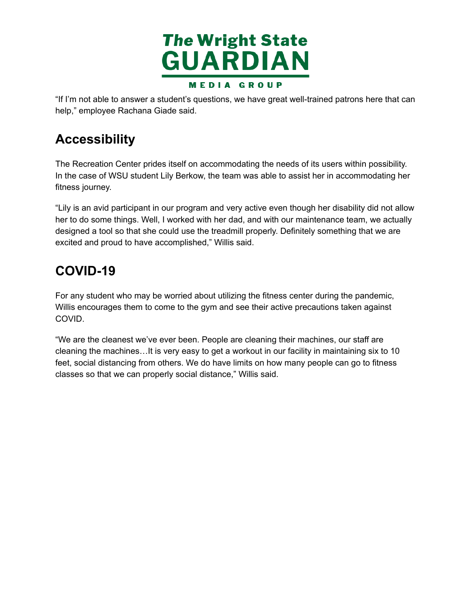

 "If I'm not able to answer a student's questions, we have great well-trained patrons here that can help," employee Rachana Giade said.

# **Accessibility**

 The Recreation Center prides itself on accommodating the needs of its users within possibility. In the case of WSU student Lily Berkow, the team was able to assist her in accommodating her fitness journey.

 "Lily is an avid participant in our program and very active even though her disability did not allow her to do some things. Well, I worked with her dad, and with our maintenance team, we actually designed a tool so that she could use the treadmill properly. Definitely something that we are excited and proud to have accomplished," Willis said.

# **COVID-19**

 For any student who may be worried about utilizing the fitness center during the pandemic, Willis encourages them to come to the gym and see their active precautions taken against COVID.

 "We are the cleanest we've ever been. People are cleaning their machines, our staff are cleaning the machines…It is very easy to get a workout in our facility in maintaining six to 10 feet, social distancing from others. We do have limits on how many people can go to fitness classes so that we can properly social distance," Willis said.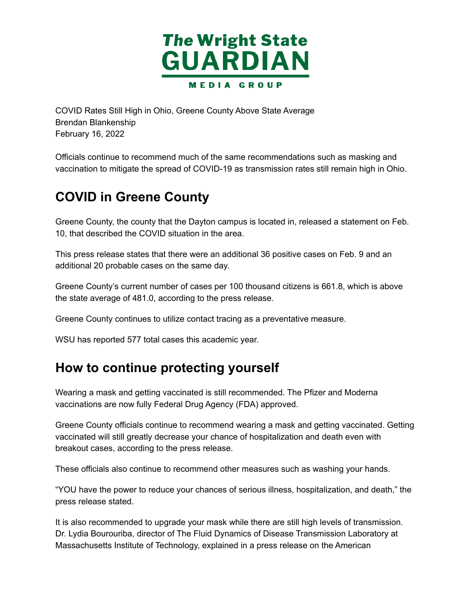

 COVID Rates Still High in Ohio, Greene County Above State Average February 16, 2022 Brendan Blankenship

 Officials continue to recommend much of the same recommendations such as masking and vaccination to mitigate the spread of COVID-19 as transmission rates still remain high in Ohio.

# **COVID in Greene County**

 Greene County, the county that the Dayton campus is located in, released a statement on Feb. 10, that described the COVID situation in the area.

 This press release states that there were an additional 36 positive cases on Feb. 9 and an additional 20 probable cases on the same day.

 Greene County's current number of cases per 100 thousand citizens is 661.8, which is above the state average of 481.0, according to the press release.

Greene County continues to utilize contact tracing as a preventative measure.

WSU has reported 577 total cases this academic year.

### **How to continue protecting yourself**

 Wearing a mask and getting vaccinated is still recommended. The Pfizer and Moderna vaccinations are now fully Federal Drug Agency (FDA) approved.

 Greene County officials continue to recommend wearing a mask and getting vaccinated. Getting vaccinated will still greatly decrease your chance of hospitalization and death even with breakout cases, according to the press release.

These officials also continue to recommend other measures such as washing your hands.

 "YOU have the power to reduce your chances of serious illness, hospitalization, and death," the press release stated.

 It is also recommended to upgrade your mask while there are still high levels of transmission. Dr. Lydia Bourouriba, director of The Fluid Dynamics of Disease Transmission Laboratory at Massachusetts Institute of Technology, explained in a press release on the American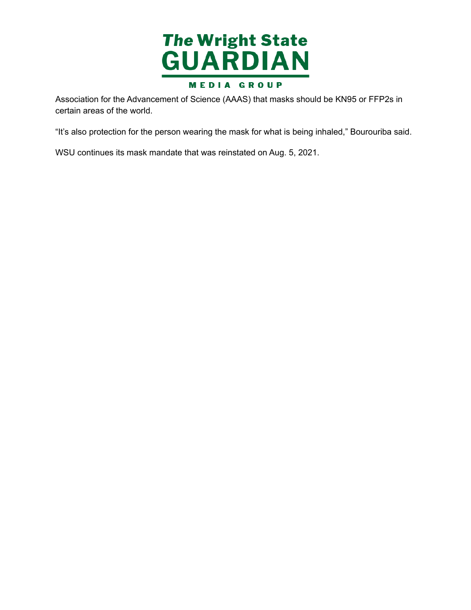

 Association for the Advancement of Science (AAAS) that masks should be KN95 or FFP2s in certain areas of the world.

"It's also protection for the person wearing the mask for what is being inhaled," Bourouriba said.

WSU continues its mask mandate that was reinstated on Aug. 5, 2021.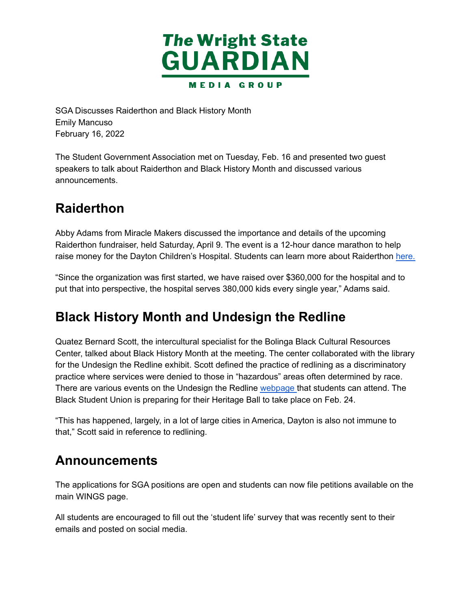

 SGA Discusses Raiderthon and Black History Month February 16, 2022 Emily Mancuso

 The Student Government Association met on Tuesday, Feb. 16 and presented two guest speakers to talk about Raiderthon and Black History Month and discussed various announcements.

# **Raiderthon**

Abby Adams from Miracle Makers discussed the importance and details of the upcoming Raiderthon fundraiser, held Saturday, April 9. The event is a 12-hour dance marathon to help raise money for the Dayton Children's Hospital. Students can learn more about Raiderthon [here.](https://wsuguardian.com/raiderthon-what-it-is-and-how-to-get-involved-now/)

 "Since the organization was first started, we have raised over \$360,000 for the hospital and to put that into perspective, the hospital serves 380,000 kids every single year," Adams said.

### **Black History Month and Undesign the Redline**

Quatez Bernard Scott, the intercultural specialist for the Bolinga Black Cultural Resources Center, talked about Black History Month at the meeting. The center collaborated with the library for the Undesign the Redline exhibit. Scott defined the practice of redlining as a discriminatory practice where services were denied to those in "hazardous" areas often determined by race. There are various events on the Undesign the Redline [webpage](https://liberal-arts.wright.edu/sociology-and-anthropology/undesign-the-redline#exhibit) that students can attend. The Black Student Union is preparing for their Heritage Ball to take place on Feb. 24.

 "This has happened, largely, in a lot of large cities in America, Dayton is also not immune to that," Scott said in reference to redlining.

#### **Announcements**

 The applications for SGA positions are open and students can now file petitions available on the main WINGS page.

 All students are encouraged to fill out the 'student life' survey that was recently sent to their emails and posted on social media.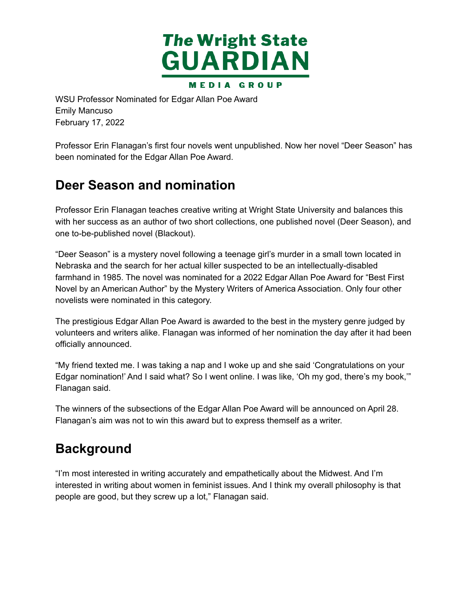

 WSU Professor Nominated for Edgar Allan Poe Award February 17, 2022 Emily Mancuso

 Professor Erin Flanagan's first four novels went unpublished. Now her novel "Deer Season" has been nominated for the Edgar Allan Poe Award.

# **Deer Season and nomination**

 Professor Erin Flanagan teaches creative writing at Wright State University and balances this with her success as an author of two short collections, one published novel (Deer Season), and one to-be-published novel (Blackout).

 "Deer Season" is a mystery novel following a teenage girl's murder in a small town located in Nebraska and the search for her actual killer suspected to be an intellectually-disabled farmhand in 1985. The novel was nominated for a 2022 Edgar Allan Poe Award for "Best First Novel by an American Author" by the Mystery Writers of America Association. Only four other novelists were nominated in this category.

 The prestigious Edgar Allan Poe Award is awarded to the best in the mystery genre judged by volunteers and writers alike. Flanagan was informed of her nomination the day after it had been officially announced.

 "My friend texted me. I was taking a nap and I woke up and she said 'Congratulations on your Edgar nomination!' And I said what? So I went online. I was like, 'Oh my god, there's my book," Flanagan said.

 The winners of the subsections of the Edgar Allan Poe Award will be announced on April 28. Flanagan's aim was not to win this award but to express themself as a writer.

# **Background**

 "I'm most interested in writing accurately and empathetically about the Midwest. And I'm interested in writing about women in feminist issues. And I think my overall philosophy is that people are good, but they screw up a lot," Flanagan said.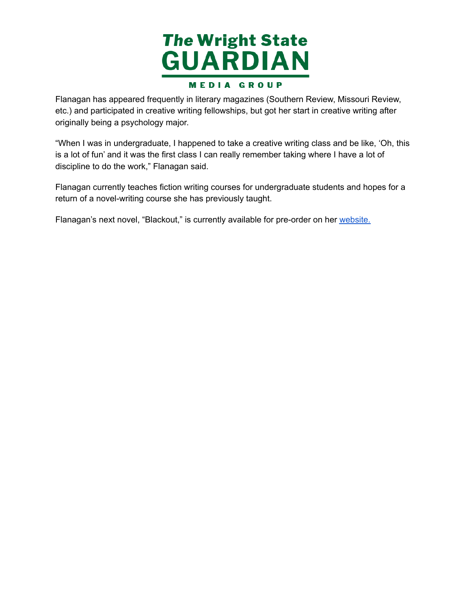

 Flanagan has appeared frequently in literary magazines (Southern Review, Missouri Review, etc.) and participated in creative writing fellowships, but got her start in creative writing after originally being a psychology major.

 "When I was in undergraduate, I happened to take a creative writing class and be like, 'Oh, this is a lot of fun' and it was the first class I can really remember taking where I have a lot of discipline to do the work," Flanagan said.

 Flanagan currently teaches fiction writing courses for undergraduate students and hopes for a return of a novel-writing course she has previously taught.

Flanagan's next novel, "Blackout," is currently available for pre-order on her [website.](https://erinflanagan.net/books/blackout/)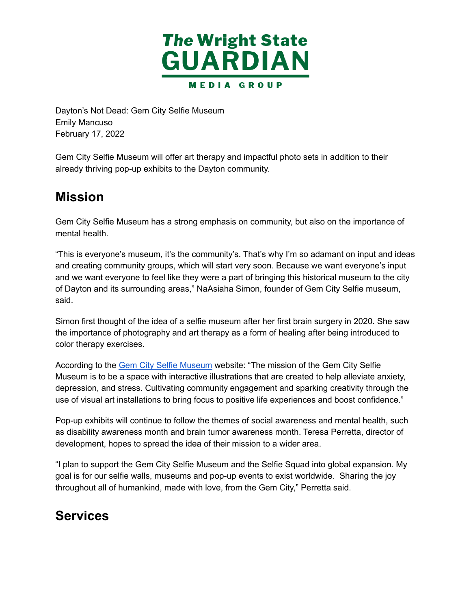

 Dayton's Not Dead: Gem City Selfie Museum February 17, 2022 Emily Mancuso

 Gem City Selfie Museum will offer art therapy and impactful photo sets in addition to their already thriving pop-up exhibits to the Dayton community.

### **Mission**

 Gem City Selfie Museum has a strong emphasis on community, but also on the importance of mental health.

 "This is everyone's museum, it's the community's. That's why I'm so adamant on input and ideas and creating community groups, which will start very soon. Because we want everyone's input and we want everyone to feel like they were a part of bringing this historical museum to the city of Dayton and its surrounding areas," NaAsiaha Simon, founder of Gem City Selfie museum, said.

 Simon first thought of the idea of a selfie museum after her first brain surgery in 2020. She saw the importance of photography and art therapy as a form of healing after being introduced to color therapy exercises.

According to the Gem City Selfie [Museum](https://www.gemcityselfie.com/) website: "The mission of the Gem City Selfie Museum is to be a space with interactive illustrations that are created to help alleviate anxiety, depression, and stress. Cultivating community engagement and sparking creativity through the use of visual art installations to bring focus to positive life experiences and boost confidence."

 Pop-up exhibits will continue to follow the themes of social awareness and mental health, such as disability awareness month and brain tumor awareness month. Teresa Perretta, director of development, hopes to spread the idea of their mission to a wider area.

 "I plan to support the Gem City Selfie Museum and the Selfie Squad into global expansion. My goal is for our selfie walls, museums and pop-up events to exist worldwide. Sharing the joy throughout all of humankind, made with love, from the Gem City," Perretta said.

# **Services**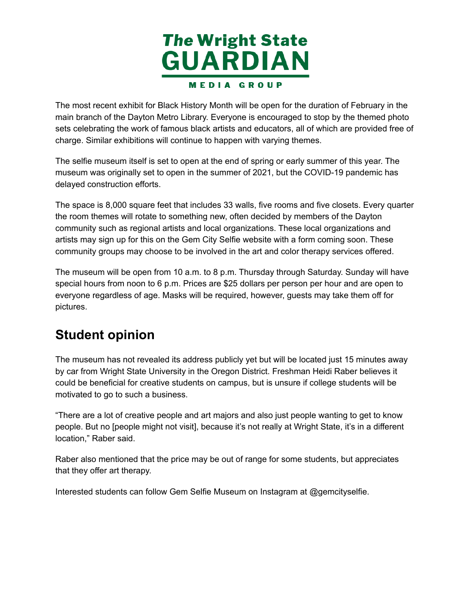

 The most recent exhibit for Black History Month will be open for the duration of February in the main branch of the Dayton Metro Library. Everyone is encouraged to stop by the themed photo sets celebrating the work of famous black artists and educators, all of which are provided free of charge. Similar exhibitions will continue to happen with varying themes.

 The selfie museum itself is set to open at the end of spring or early summer of this year. The museum was originally set to open in the summer of 2021, but the COVID-19 pandemic has delayed construction efforts.

 The space is 8,000 square feet that includes 33 walls, five rooms and five closets. Every quarter the room themes will rotate to something new, often decided by members of the Dayton community such as regional artists and local organizations. These local organizations and artists may sign up for this on the Gem City Selfie website with a form coming soon. These community groups may choose to be involved in the art and color therapy services offered.

 The museum will be open from 10 a.m. to 8 p.m. Thursday through Saturday. Sunday will have special hours from noon to 6 p.m. Prices are \$25 dollars per person per hour and are open to everyone regardless of age. Masks will be required, however, guests may take them off for pictures.

# **Student opinion**

 The museum has not revealed its address publicly yet but will be located just 15 minutes away by car from Wright State University in the Oregon District. Freshman Heidi Raber believes it could be beneficial for creative students on campus, but is unsure if college students will be motivated to go to such a business.

 "There are a lot of creative people and art majors and also just people wanting to get to know people. But no [people might not visit], because it's not really at Wright State, it's in a different location," Raber said.

 Raber also mentioned that the price may be out of range for some students, but appreciates that they offer art therapy.

Interested students can follow Gem Selfie Museum on Instagram at @gemcityselfie.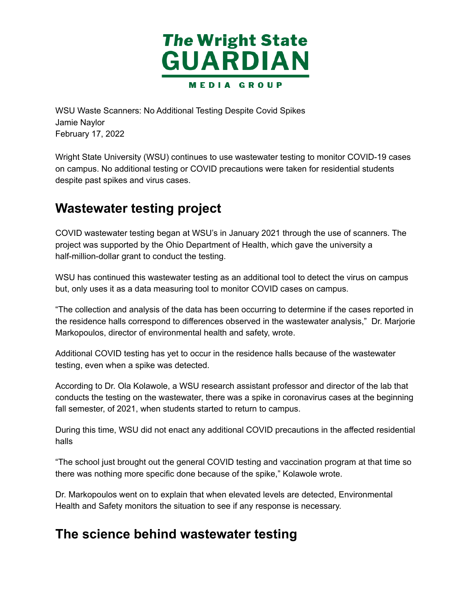

 WSU Waste Scanners: No Additional Testing Despite Covid Spikes February 17, 2022 Jamie Naylor

 Wright State University (WSU) continues to use wastewater testing to monitor COVID-19 cases on campus. No additional testing or COVID precautions were taken for residential students despite past spikes and virus cases.

# **Wastewater testing project**

 COVID wastewater testing began at WSU's in January 2021 through the use of scanners. The project was supported by the Ohio Department of Health, which gave the university a half-million-dollar grant to conduct the testing.

 WSU has continued this wastewater testing as an additional tool to detect the virus on campus but, only uses it as a data measuring tool to monitor COVID cases on campus.

 "The collection and analysis of the data has been occurring to determine if the cases reported in the residence halls correspond to differences observed in the wastewater analysis," Dr. Marjorie Markopoulos, director of environmental health and safety, wrote.

 Additional COVID testing has yet to occur in the residence halls because of the wastewater testing, even when a spike was detected.

 According to Dr. Ola Kolawole, a WSU research assistant professor and director of the lab that conducts the testing on the wastewater, there was a spike in coronavirus cases at the beginning fall semester, of 2021, when students started to return to campus.

 During this time, WSU did not enact any additional COVID precautions in the affected residential halls

 "The school just brought out the general COVID testing and vaccination program at that time so there was nothing more specific done because of the spike," Kolawole wrote.

 Dr. Markopoulos went on to explain that when elevated levels are detected, Environmental Health and Safety monitors the situation to see if any response is necessary.

### **The science behind wastewater testing**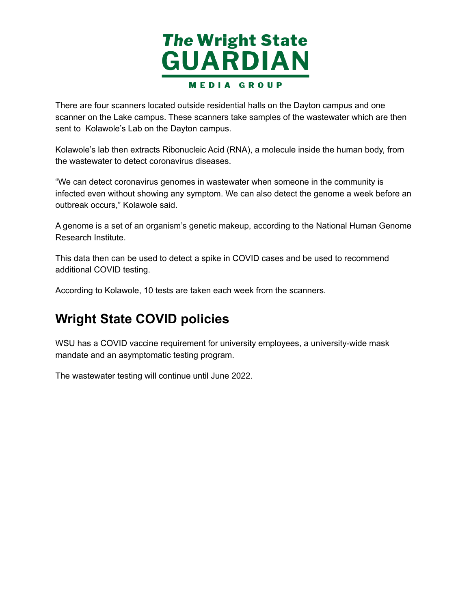

 There are four scanners located outside residential halls on the Dayton campus and one scanner on the Lake campus. These scanners take samples of the wastewater which are then sent to Kolawole's Lab on the Dayton campus.

 Kolawole's lab then extracts Ribonucleic Acid (RNA), a molecule inside the human body, from the wastewater to detect coronavirus diseases.

 "We can detect coronavirus genomes in wastewater when someone in the community is infected even without showing any symptom. We can also detect the genome a week before an outbreak occurs," Kolawole said.

 A genome is a set of an organism's genetic makeup, according to the National Human Genome Research Institute.

 This data then can be used to detect a spike in COVID cases and be used to recommend additional COVID testing.

According to Kolawole, 10 tests are taken each week from the scanners.

# **Wright State COVID policies**

 WSU has a COVID vaccine requirement for university employees, a university-wide mask mandate and an asymptomatic testing program.

The wastewater testing will continue until June 2022.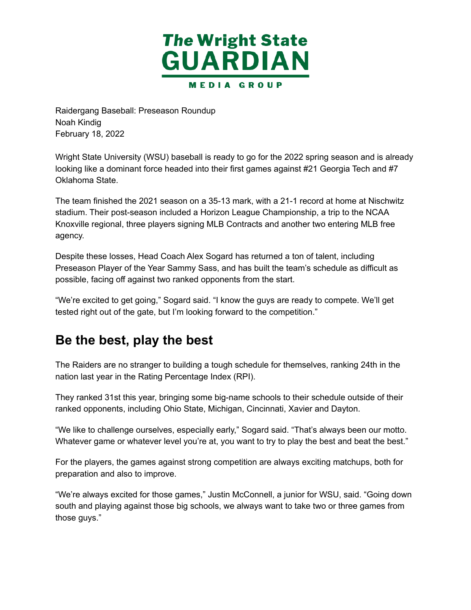

 Raidergang Baseball: Preseason Roundup February 18, 2022 Noah Kindig

 Wright State University (WSU) baseball is ready to go for the 2022 spring season and is already looking like a dominant force headed into their first games against #21 Georgia Tech and #7 Oklahoma State.

 The team finished the 2021 season on a 35-13 mark, with a 21-1 record at home at Nischwitz stadium. Their post-season included a Horizon League Championship, a trip to the NCAA Knoxville regional, three players signing MLB Contracts and another two entering MLB free agency.

 Despite these losses, Head Coach Alex Sogard has returned a ton of talent, including Preseason Player of the Year Sammy Sass, and has built the team's schedule as difficult as possible, facing off against two ranked opponents from the start.

 "We're excited to get going," Sogard said. "I know the guys are ready to compete. We'll get tested right out of the gate, but I'm looking forward to the competition."

### **Be the best, play the best**

 The Raiders are no stranger to building a tough schedule for themselves, ranking 24th in the nation last year in the Rating Percentage Index (RPI).

 They ranked 31st this year, bringing some big-name schools to their schedule outside of their ranked opponents, including Ohio State, Michigan, Cincinnati, Xavier and Dayton.

 "We like to challenge ourselves, especially early," Sogard said. "That's always been our motto. Whatever game or whatever level you're at, you want to try to play the best and beat the best."

 For the players, the games against strong competition are always exciting matchups, both for preparation and also to improve.

 "We're always excited for those games," Justin McConnell, a junior for WSU, said. "Going down south and playing against those big schools, we always want to take two or three games from those guys."